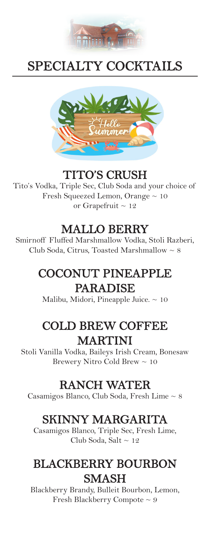

# SPECIALTY COCKTAILS



#### TITO'S CRUSH

Tito's Vodka, Triple Sec, Club Soda and your choice of Fresh Squeezed Lemon, Orange  $\sim 10$ or Grapefruit  $\sim 12$ 

#### MALLO BERRY

Smirnoff Fluffed Marshmallow Vodka, Stoli Razberi, Club Soda, Citrus, Toasted Marshmallow  $\sim 8$ 

## COCONUT PINEAPPLE PARADISE

Malibu, Midori, Pineapple Juice.  $\sim 10$ 

## COLD BREW COFFEE MARTINI

Stoli Vanilla Vodka, Baileys Irish Cream, Bonesaw Brewery Nitro Cold Brew ~ 10

#### RANCH WATER

Casamigos Blanco, Club Soda, Fresh Lime ~ 8

#### SKINNY MARGARITA

Casamigos Blanco, Triple Sec, Fresh Lime, Club Soda, Salt  $\sim 12$ 

#### BLACKBERRY BOURBON **SMASH**

Blackberry Brandy, Bulleit Bourbon, Lemon, Fresh Blackberry Compote ~ 9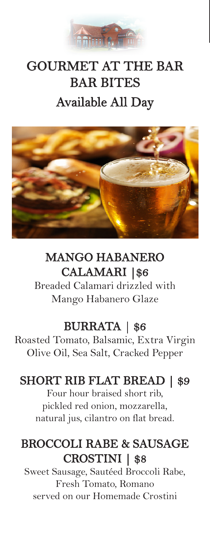

# GOURMET AT THE BAR BAR BITES Available All Day



# MANGO HABANERO CALAMARI |\$6

Breaded Calamari drizzled with Mango Habanero Glaze

## BURRATA | \$6

Roasted Tomato, Balsamic, Extra Virgin Olive Oil, Sea Salt, Cracked Pepper

# SHORT RIB FLAT BREAD | \$9

Four hour braised short rib, pickled red onion, mozzarella, natural jus, cilantro on flat bread.

## BROCCOLI RABE & SAUSAGE CROSTINI | \$8

Sweet Sausage, Sautéed Broccoli Rabe, Fresh Tomato, Romano served on our Homemade Crostini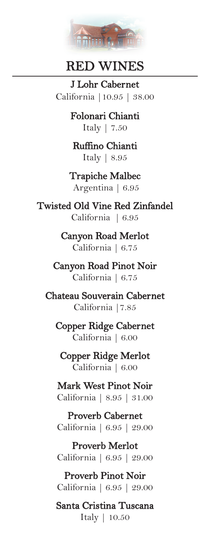

#### RED WINES

J Lohr Cabernet California |10.95 | 38.00

> Folonari Chianti Italy | 7.50

Ruffino Chianti Italy | 8.95

Trapiche Malbec Argentina | 6.95

Twisted Old Vine Red Zinfandel California | 6.95

> Canyon Road Merlot California | 6.75

Canyon Road Pinot Noir California | 6.75

Chateau Souverain Cabernet California |7.85

Copper Ridge Cabernet California | 6.00

Copper Ridge Merlot California | 6.00

Mark West Pinot Noir California | 8.95 | 31.00

Proverb Cabernet California | 6.95 | 29.00

Proverb Merlot California | 6.95 | 29.00

Proverb Pinot Noir California | 6.95 | 29.00

Santa Cristina Tuscana Italy | 10.50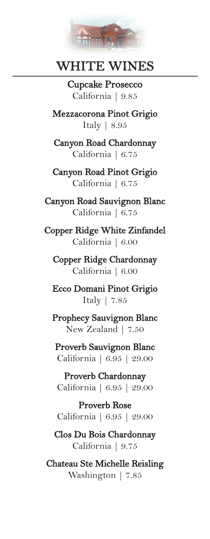

## WHITE WINES

Cupcake Prosecco California | 9.85

Mezzacorona Pinot Grigio Italy | 8.95

Canyon Road Chardonnay California | 6.75

Canyon Road Pinot Grigio California | 6.75

Canyon Road Sauvignon Blanc California | 6.75

Copper Ridge White Zinfandel California | 6.00

Copper Ridge Chardonnay California | 6.00

Ecco Domani Pinot Grigio Italy | 7.85

Prophecy Sauvignon Blanc New Zealand | 7.50

Proverb Sauvignon Blanc California | 6.95 | 29.00

Proverb Chardonnay California | 6.95 | 29.00

Proverb Rose California | 6.95 | 29.00

Clos Du Bois Chardonnay California | 9.75

Chateau Ste Michelle Reisling Washington | 7.85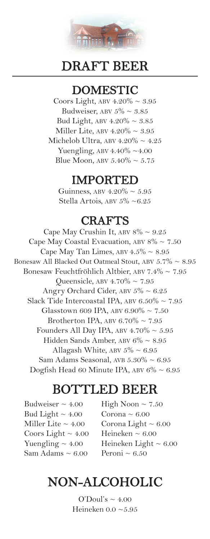

#### DRAFT BEER

#### DOMESTIC

Coors Light, ABV  $4.20\% \sim 3.95$ Budweiser, ABV  $5\% \sim 3.85$ Bud Light, ABV  $4.20\% \sim 3.85$ Miller Lite, ABV  $4.20\% \sim 3.95$ Michelob Ultra, ABV  $4.20\% \sim 4.25$ Yuengling, ABV  $4.40\% \sim 4.00$ Blue Moon, ABV  $5.40\% \sim 5.75$ 

#### IMPORTED

Guinness, ABV  $4.20\% \sim 5.95$ Stella Artois, ABV 5% ~6.25

#### CRAFTS

Cape May Crushin It, ABV  $8\% \sim 9.25$ Cape May Coastal Evacuation, ABV  $8\% \sim 7.50$ Cape May Tan Limes, ABV  $4.5\% \sim 8.95$ Bonesaw All Blacked Out Oatmeal Stout, ABV  $5.7\% \sim 8.95$ Bonesaw Feuchtfröhlich Altbier, ABV  $7.4\% \sim 7.95$ Queensicle, ABV  $4.70\% \sim 7.95$ Angry Orchard Cider, ABV  $5\% \sim 6.25$ Slack Tide Intercoastal IPA, ABV  $6.50\% \sim 7.95$ Glasstown 609 IPA, ABV  $6.90\% \sim 7.50$ Brotherton IPA, ABV  $6.70\% \sim 7.95$ Founders All Day IPA, ABV  $4.70\% \sim 5.95$ Hidden Sands Amber, ABV 6% ~ 8.95 Allagash White, ABV  $5\% \sim 6.95$ Sam Adams Seasonal, AVB  $5.30\% \sim 6.95$ Dogfish Head 60 Minute IPA, ABV  $6\% \sim 6.95$ 

#### BOTTLED BEER

Budweiser  $\sim 4.00$ Bud Light  $\sim 4.00$ Miller Lite  $\sim 4.00$ Coors Light  $\sim 4.00$ Yuengling  $\sim 4.00$ Sam Adams  $\sim 6.00$ 

High Noon  $\sim 7.50$ Corona  $\sim 6.00$ Corona Light  $\sim 6.00$ Heineken  $\sim 6.00$ Heineken Light  $\sim 6.00$ Peroni  $\sim 6.50$ 

# NON-ALCOHOLIC

O'Doul's  $\sim$  4.00 Heineken 0.0 ~5.95